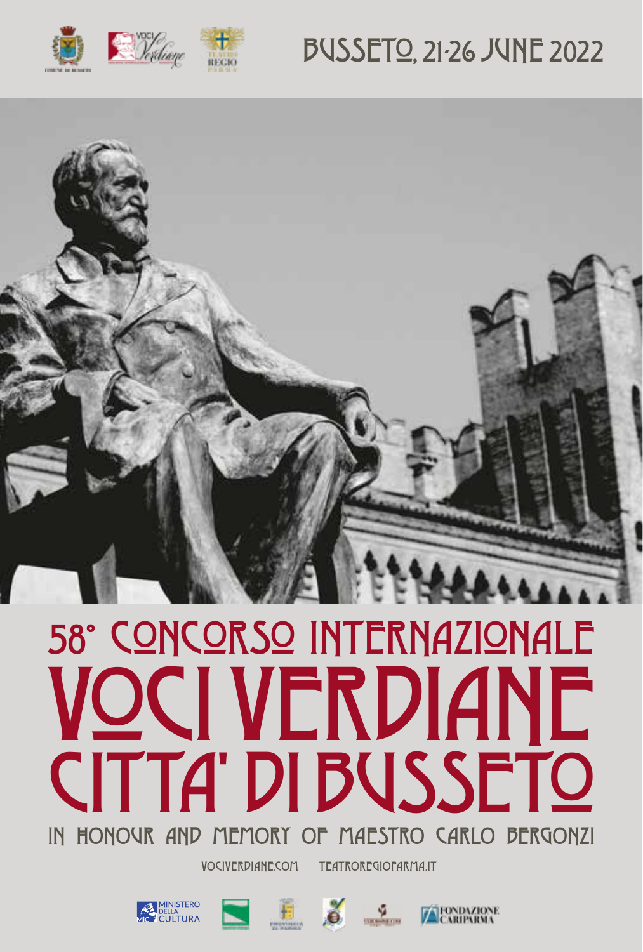

## **BUSSETO, 21-26 JUNE 2022**



# 58° CONCORSO INTERNAZIONALE OCI VERDIANE **CITTA' DI BUSSETO** IN HONOUR AND MEMORY OF MAESTRO CARLO BERGONZI

**VOCIVERDIANE.COM** 

**TEATROREGIOPARMA.IT** 









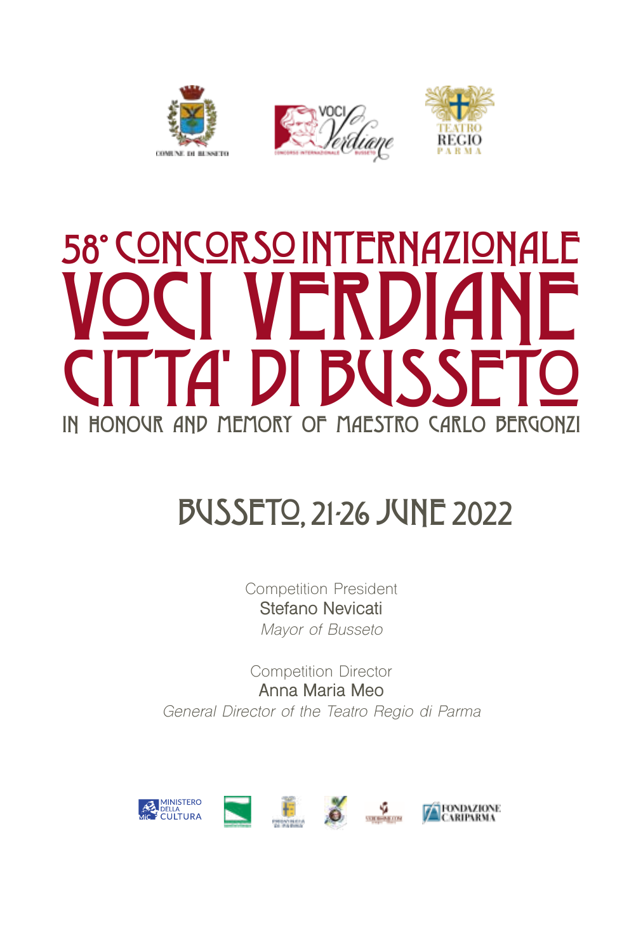





# 58° CoNCoRSo INTERNAZIoNALE VOCI VERDIANE [*A*' DI I IN HONOUR AND MEMORY OF MAESTRO CARLO BERGONZI

## BUSSETo, 21-26 JUNE 2022

Competition President **Stefano Nevicati** *Mayor of Busseto*

Competition Director **Anna Maria Meo** *General Director of the Teatro Regio di Parma*

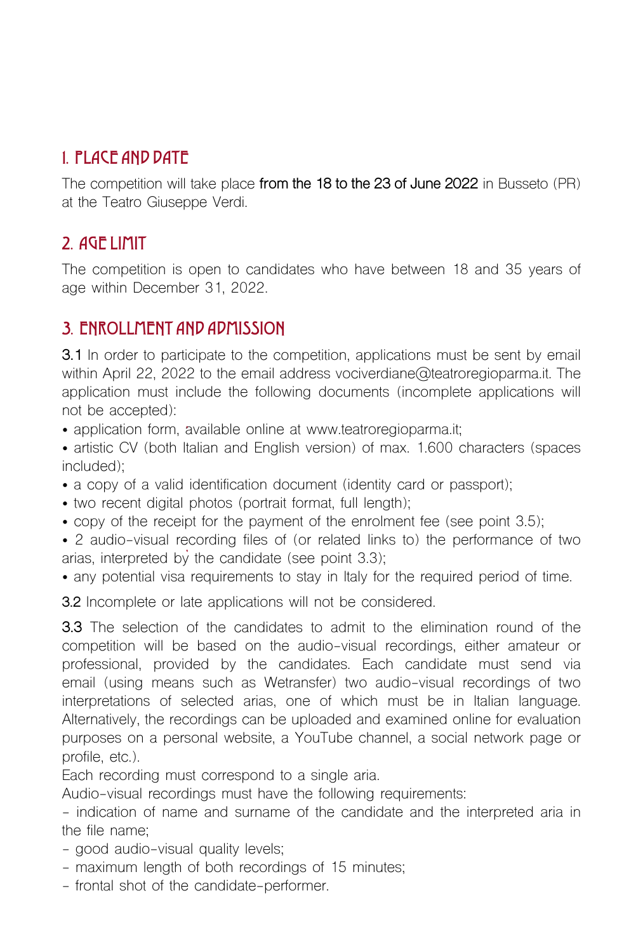## 1. PLACE AND DATE

The competition will take place **from the 18 to the 23 of June 2022** in Busseto (PR) at the Teatro Giuseppe Verdi.

## 2. AGE LIMIT

The competition is open to candidates who have between 18 and 35 years of age within December 31, 2022.

## 3. ENROLLMENT AND ADMISSION

**3.1** In order to participate to the competition, applications must be sent by email within April 22, 2022 to the email address vociverdiane@teatroregioparma.it. The application must include the following documents (incomplete applications will not be accepted):

• application form, available online at www.teatroregioparma.it:

- artistic CV (both Italian and English version) of max. 1.600 characters (spaces included);
- a copy of a valid identification document (identity card or passport);
- two recent digital photos (portrait format, full length);
- copy of the receipt for the payment of the enrolment fee (see point 3.5);
- 2 audio-visual recording files of (or related links to) the performance of two arias, interpreted by the candidate (see point 3.3);
- any potential visa requirements to stay in Italy for the required period of time.

**3.2** Incomplete or late applications will not be considered.

**3.3** The selection of the candidates to admit to the elimination round of the competition will be based on the audio-visual recordings, either amateur or professional, provided by the candidates. Each candidate must send via email (using means such as Wetransfer) two audio-visual recordings of two interpretations of selected arias, one of which must be in Italian language. Alternatively, the recordings can be uploaded and examined online for evaluation purposes on a personal website, a YouTube channel, a social network page or profile, etc.).

Each recording must correspond to a single aria.

Audio-visual recordings must have the following requirements:

- indication of name and surname of the candidate and the interpreted aria in the file name;

- good audio-visual quality levels;
- maximum length of both recordings of 15 minutes;
- frontal shot of the candidate-performer.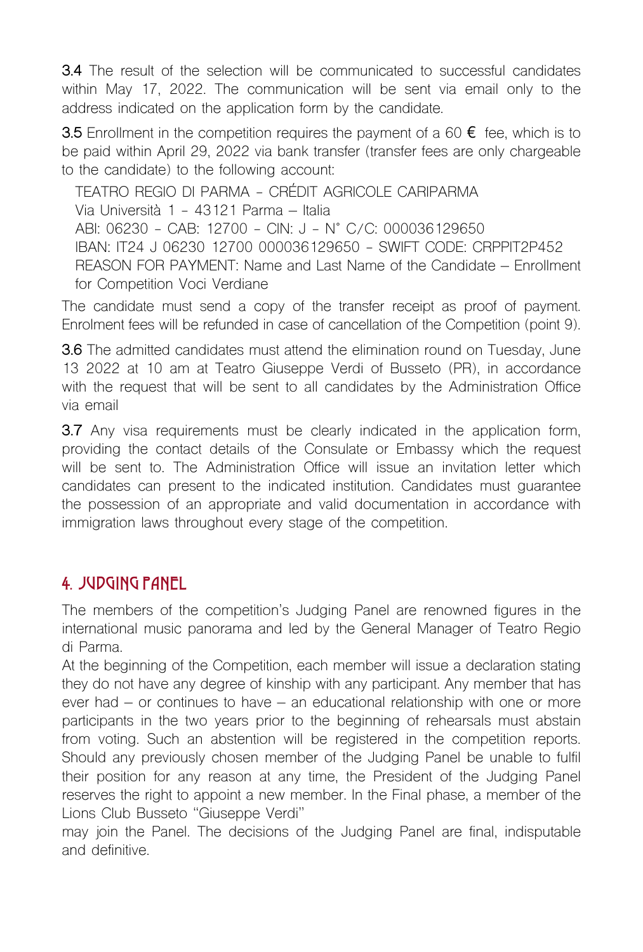**3.4** The result of the selection will be communicated to successful candidates within May 17, 2022. The communication will be sent via email only to the address indicated on the application form by the candidate.

**3.5** Enrollment in the competition requires the payment of a 60 € fee, which is to be paid within April 29, 2022 via bank transfer (transfer fees are only chargeable to the candidate) to the following account:

TEATRO REGIO DI PARMA - CRÉDIT AGRICOLE CARIPARMA Via Università 1 - 43121 Parma – Italia ABI: 06230 - CAB: 12700 - CIN: J - N° C/C: 000036129650 IBAN: IT24 J 06230 12700 000036129650 - SWIFT CODE: CRPPIT2P452 REASON FOR PAYMENT: Name and Last Name of the Candidate – Enrollment for Competition Voci Verdiane

The candidate must send a copy of the transfer receipt as proof of payment. Enrolment fees will be refunded in case of cancellation of the Competition (point 9).

**3.6** The admitted candidates must attend the elimination round on Tuesday, June 13 2022 at 10 am at Teatro Giuseppe Verdi of Busseto (PR), in accordance with the request that will be sent to all candidates by the Administration Office via email

**3.7** Any visa requirements must be clearly indicated in the application form, providing the contact details of the Consulate or Embassy which the request will be sent to. The Administration Office will issue an invitation letter which candidates can present to the indicated institution. Candidates must guarantee the possession of an appropriate and valid documentation in accordance with immigration laws throughout every stage of the competition.

## 4. JUDGING PANEL

The members of the competition's Judging Panel are renowned figures in the international music panorama and led by the General Manager of Teatro Regio di Parma.

At the beginning of the Competition, each member will issue a declaration stating they do not have any degree of kinship with any participant. Any member that has ever had – or continues to have – an educational relationship with one or more participants in the two years prior to the beginning of rehearsals must abstain from voting. Such an abstention will be registered in the competition reports. Should any previously chosen member of the Judging Panel be unable to fulfil their position for any reason at any time, the President of the Judging Panel reserves the right to appoint a new member. In the Final phase, a member of the Lions Club Busseto "Giuseppe Verdi"

may join the Panel. The decisions of the Judging Panel are final, indisputable and definitive.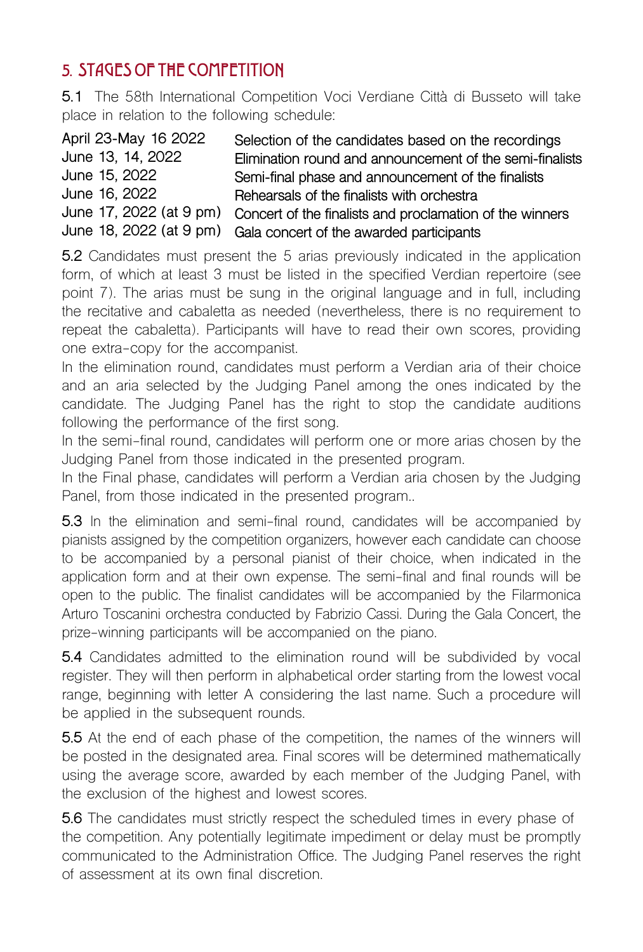## 5. STAGES OF THE COMPETITION

**5.1** The 58th International Competition Voci Verdiane Città di Busseto will take place in relation to the following schedule:

| Selection of the candidates based on the recordings      |
|----------------------------------------------------------|
| Elimination round and announcement of the semi-finalists |
| Semi-final phase and announcement of the finalists       |
| Rehearsals of the finalists with orchestra               |
| Concert of the finalists and proclamation of the winners |
| Gala concert of the awarded participants                 |
|                                                          |

**5.2** Candidates must present the 5 arias previously indicated in the application form, of which at least 3 must be listed in the specified Verdian repertoire (see point 7). The arias must be sung in the original language and in full, including the recitative and cabaletta as needed (nevertheless, there is no requirement to repeat the cabaletta). Participants will have to read their own scores, providing one extra-copy for the accompanist.

In the elimination round, candidates must perform a Verdian aria of their choice and an aria selected by the Judging Panel among the ones indicated by the candidate. The Judging Panel has the right to stop the candidate auditions following the performance of the first song.

In the semi-final round, candidates will perform one or more arias chosen by the Judging Panel from those indicated in the presented program.

In the Final phase, candidates will perform a Verdian aria chosen by the Judging Panel, from those indicated in the presented program..

**5.3** In the elimination and semi-final round, candidates will be accompanied by pianists assigned by the competition organizers, however each candidate can choose to be accompanied by a personal pianist of their choice, when indicated in the application form and at their own expense. The semi-final and final rounds will be open to the public. The finalist candidates will be accompanied by the Filarmonica Arturo Toscanini orchestra conducted by Fabrizio Cassi. During the Gala Concert, the prize-winning participants will be accompanied on the piano.

**5.4** Candidates admitted to the elimination round will be subdivided by vocal register. They will then perform in alphabetical order starting from the lowest vocal range, beginning with letter A considering the last name. Such a procedure will be applied in the subsequent rounds.

**5.5** At the end of each phase of the competition, the names of the winners will be posted in the designated area. Final scores will be determined mathematically using the average score, awarded by each member of the Judging Panel, with the exclusion of the highest and lowest scores.

**5.6** The candidates must strictly respect the scheduled times in every phase of the competition. Any potentially legitimate impediment or delay must be promptly communicated to the Administration Office. The Judging Panel reserves the right of assessment at its own final discretion.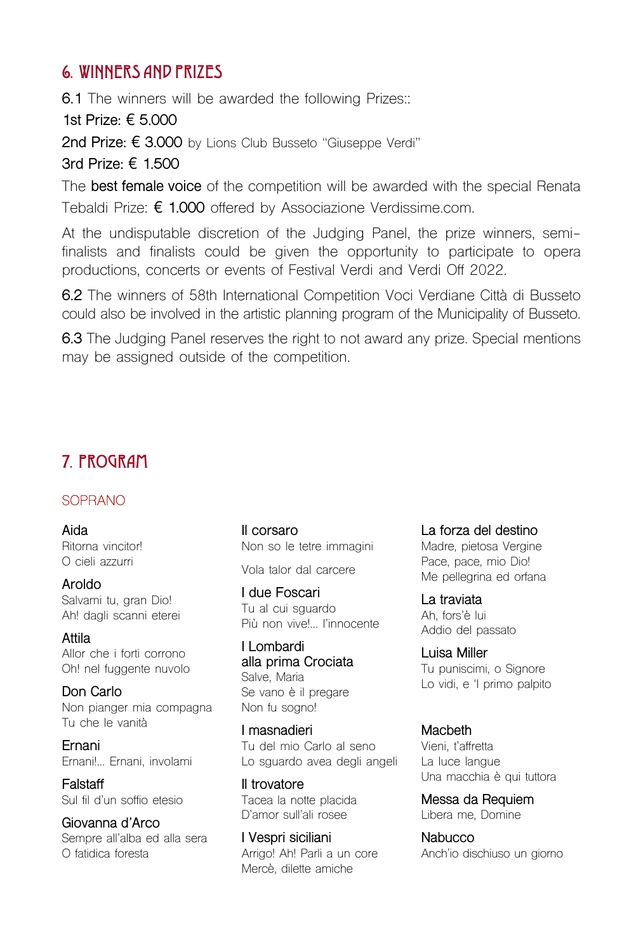### 6. WINNERS AND PRIZES

**6.1** The winners will be awarded the following Prizes::

**1st Prize:** € **5.000**

**2nd Prize:** € **3.000** by Lions Club Busseto "Giuseppe Verdi"

**3rd Prize:** € **1.500**

The **best female voice** of the competition will be awarded with the special Renata Tebaldi Prize: € **1.000** offered by Associazione Verdissime.com.

At the undisputable discretion of the Judging Panel, the prize winners, semifinalists and finalists could be given the opportunity to participate to opera productions, concerts or events of Festival Verdi and Verdi Off 2022.

**6.2** The winners of 58th International Competition Voci Verdiane Città di Busseto could also be involved in the artistic planning program of the Municipality of Busseto.

**6.3** The Judging Panel reserves the right to not award any prize. Special mentions may be assigned outside of the competition.

## 7. PROGRAM

#### SOPRANO

**Aida** Ritorna vincitor! O cieli azzurri

**Aroldo** Salvami tu, gran Dio! Ah! dagli scanni eterei

**Attila** Allor che i forti corrono Oh! nel fuggente nuvolo

**Don Carlo** Non pianger mia compagna Tu che le vanità

**Ernani** Ernani!... Ernani, involami

**Falstaff** Sul fil d'un soffio etesio

**Giovanna d'Arco** Sempre all'alba ed alla sera O fatidica foresta

**Il corsaro** Non so le tetre immagini

Vola talor dal carcere

**I due Foscari** Tu al cui sguardo Più non vive!... l'innocente

**I Lombardi alla prima Crociata** Salve, Maria Se vano è il pregare Non fu sogno!

**I masnadieri** Tu del mio Carlo al seno Lo sguardo avea degli angeli

**Il trovatore** Tacea la notte placida D'amor sull'ali rosee

**I Vespri siciliani** Arrigo! Ah! Parli a un core Mercè, dilette amiche

**La forza del destino** Madre, pietosa Vergine

Pace, pace, mio Dio! Me pellegrina ed orfana

**La traviata** Ah, fors'è lui Addio del passato

**Luisa Miller** Tu puniscimi, o Signore Lo vidi, e 'l primo palpito

**Macbeth** Vieni, t'affretta La luce langue Una macchia è qui tuttora

**Messa da Requiem** Libera me, Domine

**Nabucco** Anch'io dischiuso un giorno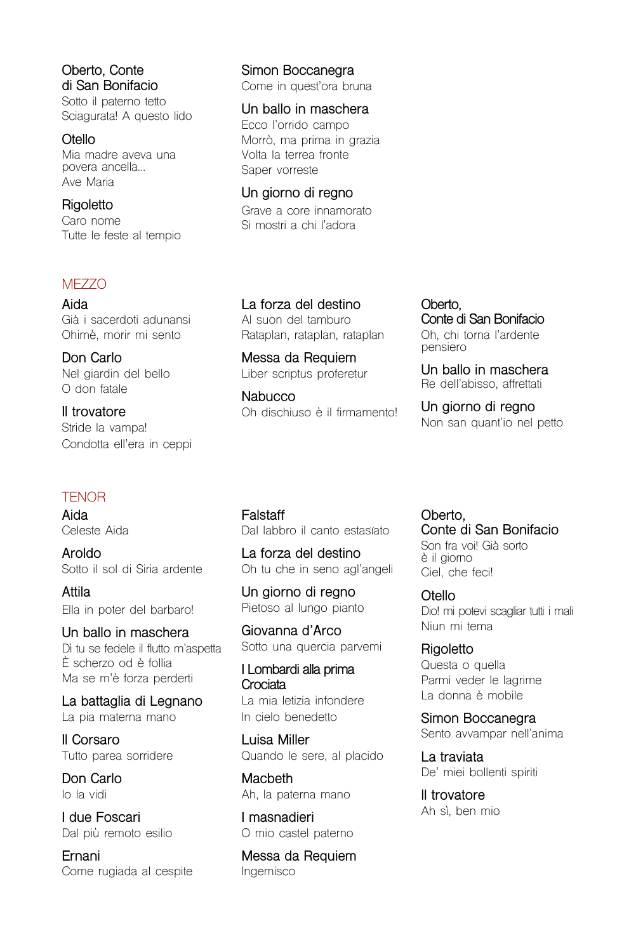**Oberto, Conte di San Bonifacio** Sotto il paterno tetto Sciagurata! A questo lido

**Otello** Mia madre aveva una povera ancella... Ave Maria

**Rigoletto** Caro nome Tutte le feste al tempio

#### **MEZZO**

**Aida** Già i sacerdoti adunansi Ohimè, morir mi sento

**Don Carlo** Nel giardin del bello O don fatale

**Il trovatore** Stride la vampa! Condotta ell'era in ceppi

#### **TENOR**

**Aida** Celeste Aida

**Aroldo** Sotto il sol di Siria ardente

**Attila** Ella in poter del barbaro!

**Un ballo in maschera** Dì tu se fedele il flutto m'aspetta È scherzo od è follia Ma se m'è forza perderti

**La battaglia di Legnano** La pia materna mano

**Il Corsaro** Tutto parea sorridere

**Don Carlo** Io la vidi

**I due Foscari** Dal più remoto esilio

**Ernani** Come rugiada al cespite **Simon Boccanegra** Come in quest'ora bruna

**Un ballo in maschera** Ecco l'orrido campo Morrò, ma prima in grazia Volta la terrea fronte Saper vorreste

**Un giorno di regno** Grave a core innamorato Si mostri a chi l'adora

**La forza del destino** Al suon del tamburo Rataplan, rataplan, rataplan

**Messa da Requiem** Liber scriptus proferetur

**Nabucco** Oh dischiuso è il firmamento! **Oberto, Conte di San Bonifacio** Oh, chi torna l'ardente pensiero

**Un ballo in maschera** Re dell'abisso, affrettati

**Un giorno di regno** Non san quant'io nel petto

**Falstaff** Dal labbro il canto estasïato

**La forza del destino** Oh tu che in seno agl'angeli

**Un giorno di regno** Pietoso al lungo pianto

**Giovanna d'Arco** Sotto una quercia parvemi

**I Lombardi alla prima Crociata** La mia letizia infondere In cielo benedetto

**Luisa Miller** Quando le sere, al placido

**Macbeth** Ah, la paterna mano

**I masnadieri** O mio castel paterno

**Messa da Requiem** Ingemisco

**Oberto, Conte di San Bonifacio** Son fra voi! Già sorto è il giorno Ciel, che feci!

**Otello** Dio! mi potevi scagliar tutti i mali Niun mi tema

**Rigoletto** Questa o quella Parmi veder le lagrime La donna è mobile

**Simon Boccanegra** Sento avvampar nell'anima

**La traviata** De' miei bollenti spiriti

**ll trovatore** Ah sì, ben mio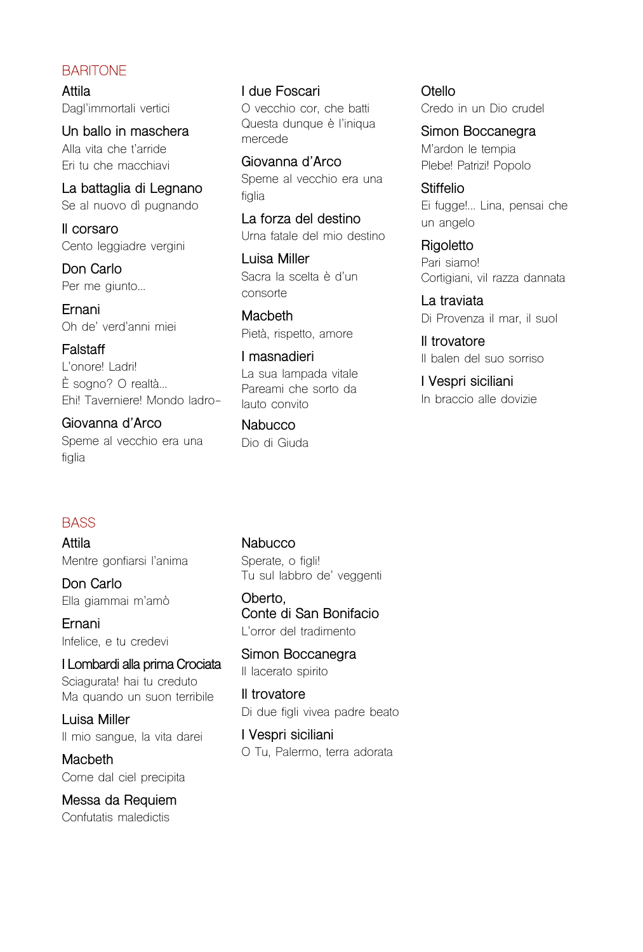#### **BARITONE**

**Attila** Dagl'immortali vertici

**Un ballo in maschera** Alla vita che t'arride Eri tu che macchiavi

**La battaglia di Legnano** Se al nuovo dì pugnando

**Il corsaro** Cento leggiadre vergini

**Don Carlo** Per me giunto...

**Ernani** Oh de' verd'anni miei

**Falstaff** L'onore! Ladri! È sogno? O realtà... Ehi! Taverniere! Mondo ladro-

**Giovanna d'Arco** Speme al vecchio era una figlia

**I due Foscari** O vecchio cor, che batti Questa dunque è l'iniqua mercede

**Giovanna d'Arco** Speme al vecchio era una figlia

**La forza del destino** Urna fatale del mio destino

**Luisa Miller** Sacra la scelta è d'un consorte

**Macbeth** Pietà, rispetto, amore

**I masnadieri** La sua lampada vitale Pareami che sorto da lauto convito

**Nabucco** Dio di Giuda **Otello** Credo in un Dio crudel

**Simon Boccanegra** M'ardon le tempia Plebe! Patrizi! Popolo

**Stiffelio** Ei fugge!... Lina, pensai che un angelo

**Rigoletto** Pari siamo! Cortigiani, vil razza dannata

**La traviata** Di Provenza il mar, il suol

**Il trovatore** Il balen del suo sorriso

**I Vespri siciliani** In braccio alle dovizie

#### **BASS**

**Attila** Mentre gonfiarsi l'anima

**Don Carlo** Ella giammai m'amò

**Ernani** Infelice, e tu credevi

**I Lombardi alla prima Crociata** Sciagurata! hai tu creduto Ma quando un suon terribile

**Luisa Miller** Il mio sangue, la vita darei

**Macbeth** Come dal ciel precipita

**Messa da Requiem** Confutatis maledictis

**Nabucco** Sperate, o figli! Tu sul labbro de' veggenti

**Oberto, Conte di San Bonifacio** L'orror del tradimento

**Simon Boccanegra** Il lacerato spirito

**Il trovatore** Di due figli vivea padre beato

**I Vespri siciliani** O Tu, Palermo, terra adorata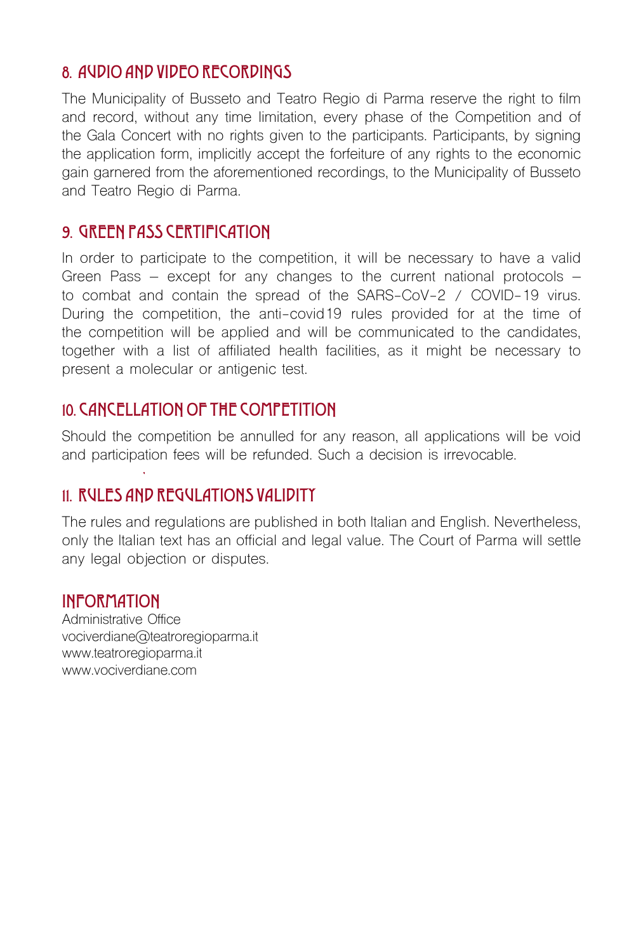## 8. AUDIO AND VIDEO RECORDINGS

The Municipality of Busseto and Teatro Regio di Parma reserve the right to film and record, without any time limitation, every phase of the Competition and of the Gala Concert with no rights given to the participants. Participants, by signing the application form, implicitly accept the forfeiture of any rights to the economic gain garnered from the aforementioned recordings, to the Municipality of Busseto and Teatro Regio di Parma.

## 9. GREEN PASS CERTIFICATION

In order to participate to the competition, it will be necessary to have a valid Green Pass – except for any changes to the current national protocols – to combat and contain the spread of the SARS-CoV-2 / COVID-19 virus. During the competition, the anti-covid19 rules provided for at the time of the competition will be applied and will be communicated to the candidates, together with a list of affiliated health facilities, as it might be necessary to present a molecular or antigenic test.

## 10. CANCELLATION OF THE COMPETITION

Should the competition be annulled for any reason, all applications will be void and participation fees will be refunded. Such a decision is irrevocable.

## 11. RULES AND REGULATIONS VALIDITY

The rules and regulations are published in both Italian and English. Nevertheless, only the Italian text has an official and legal value. The Court of Parma will settle any legal objection or disputes.

## INFORMATION

Administrative Office vociverdiane@teatroregioparma.it www.teatroregioparma.it www.vociverdiane.com